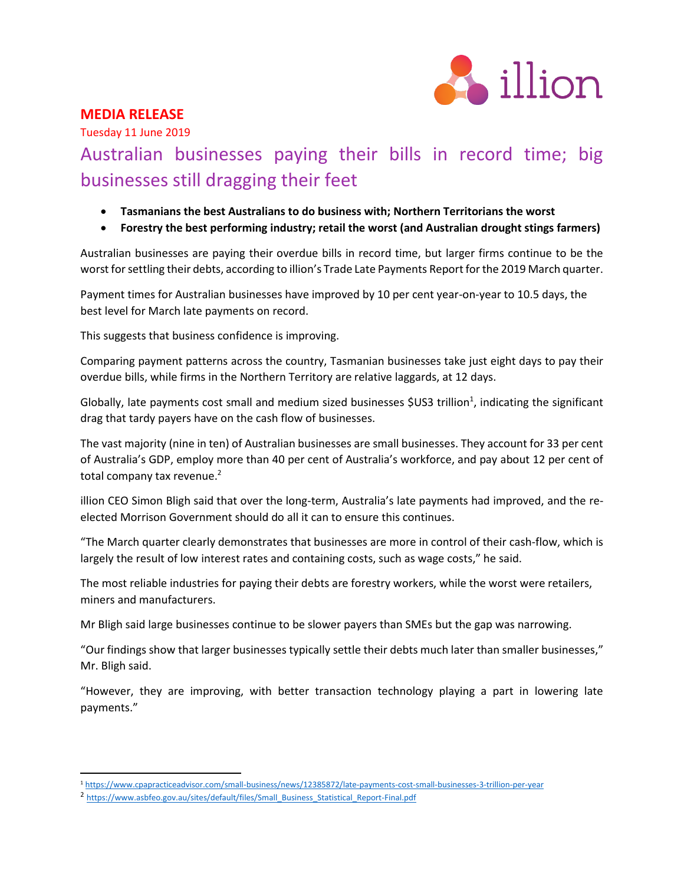

# **MEDIA RELEASE**

Tuesday 11 June 2019

# Australian businesses paying their bills in record time; big businesses still dragging their feet

- **Tasmanians the best Australians to do business with; Northern Territorians the worst**
- **Forestry the best performing industry; retail the worst (and Australian drought stings farmers)**

Australian businesses are paying their overdue bills in record time, but larger firms continue to be the worst for settling their debts, according to illion's Trade Late Payments Report for the 2019 March quarter.

Payment times for Australian businesses have improved by 10 per cent year-on-year to 10.5 days, the best level for March late payments on record.

This suggests that business confidence is improving.

Comparing payment patterns across the country, Tasmanian businesses take just eight days to pay their overdue bills, while firms in the Northern Territory are relative laggards, at 12 days.

Globally, late payments cost small and medium sized businesses \$US3 trillion<sup>1</sup>, indicating the significant drag that tardy payers have on the cash flow of businesses.

The vast majority (nine in ten) of Australian businesses are small businesses. They account for 33 per cent of Australia's GDP, employ more than 40 per cent of Australia's workforce, and pay about 12 per cent of total company tax revenue.<sup>2</sup>

illion CEO Simon Bligh said that over the long-term, Australia's late payments had improved, and the reelected Morrison Government should do all it can to ensure this continues.

"The March quarter clearly demonstrates that businesses are more in control of their cash-flow, which is largely the result of low interest rates and containing costs, such as wage costs," he said.

The most reliable industries for paying their debts are forestry workers, while the worst were retailers, miners and manufacturers.

Mr Bligh said large businesses continue to be slower payers than SMEs but the gap was narrowing.

"Our findings show that larger businesses typically settle their debts much later than smaller businesses," Mr. Bligh said.

"However, they are improving, with better transaction technology playing a part in lowering late payments."

 $\overline{a}$ 

<sup>1</sup> <https://www.cpapracticeadvisor.com/small-business/news/12385872/late-payments-cost-small-businesses-3-trillion-per-year>

<sup>&</sup>lt;sup>2</sup> [https://www.asbfeo.gov.au/sites/default/files/Small\\_Business\\_Statistical\\_Report-Final.pdf](https://www.asbfeo.gov.au/sites/default/files/Small_Business_Statistical_Report-Final.pdf)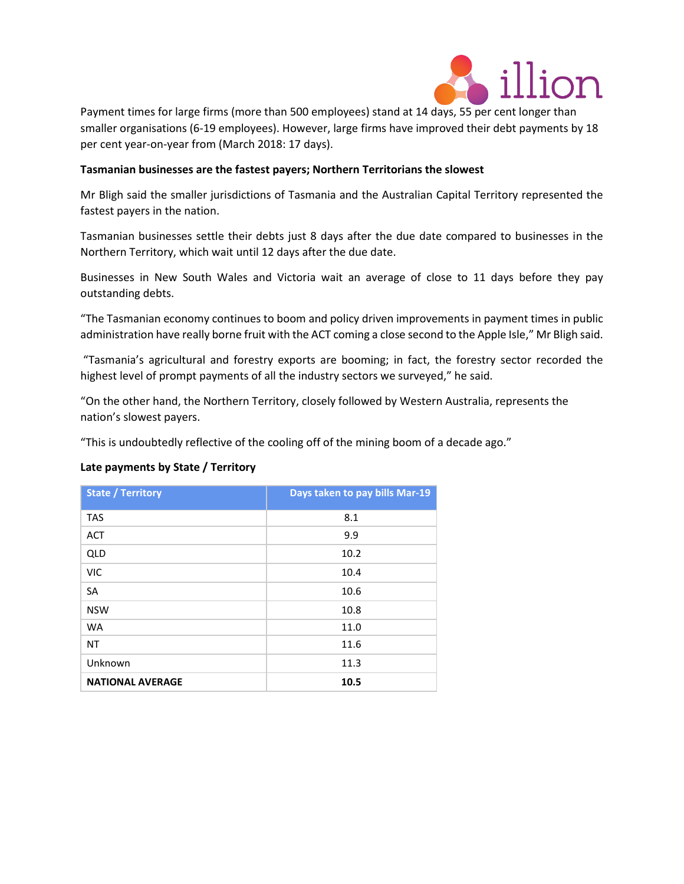

Payment times for large firms (more than 500 employees) stand at 14 days, 55 per cent longer than smaller organisations (6-19 employees). However, large firms have improved their debt payments by 18 per cent year-on-year from (March 2018: 17 days).

# **Tasmanian businesses are the fastest payers; Northern Territorians the slowest**

Mr Bligh said the smaller jurisdictions of Tasmania and the Australian Capital Territory represented the fastest payers in the nation.

Tasmanian businesses settle their debts just 8 days after the due date compared to businesses in the Northern Territory, which wait until 12 days after the due date.

Businesses in New South Wales and Victoria wait an average of close to 11 days before they pay outstanding debts.

"The Tasmanian economy continues to boom and policy driven improvements in payment times in public administration have really borne fruit with the ACT coming a close second to the Apple Isle," Mr Bligh said.

"Tasmania's agricultural and forestry exports are booming; in fact, the forestry sector recorded the highest level of prompt payments of all the industry sectors we surveyed," he said.

"On the other hand, the Northern Territory, closely followed by Western Australia, represents the nation's slowest payers.

"This is undoubtedly reflective of the cooling off of the mining boom of a decade ago."

# **Late payments by State / Territory**

| <b>State / Territory</b> | Days taken to pay bills Mar-19 |
|--------------------------|--------------------------------|
| <b>TAS</b>               | 8.1                            |
| <b>ACT</b>               | 9.9                            |
| QLD                      | 10.2                           |
| <b>VIC</b>               | 10.4                           |
| <b>SA</b>                | 10.6                           |
| <b>NSW</b>               | 10.8                           |
| <b>WA</b>                | 11.0                           |
| NT                       | 11.6                           |
| Unknown                  | 11.3                           |
| <b>NATIONAL AVERAGE</b>  | 10.5                           |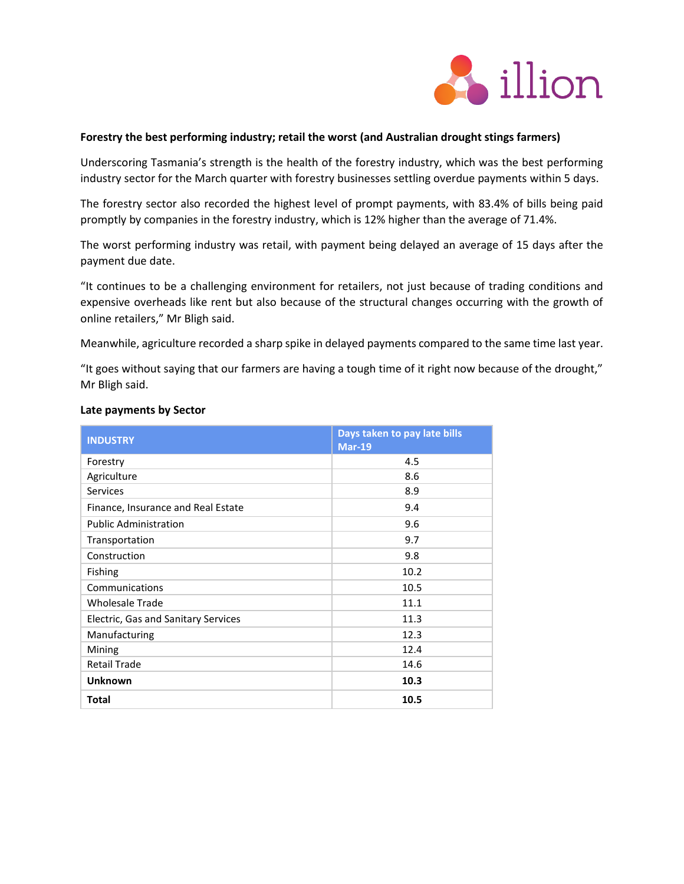

## **Forestry the best performing industry; retail the worst (and Australian drought stings farmers)**

Underscoring Tasmania's strength is the health of the forestry industry, which was the best performing industry sector for the March quarter with forestry businesses settling overdue payments within 5 days.

The forestry sector also recorded the highest level of prompt payments, with 83.4% of bills being paid promptly by companies in the forestry industry, which is 12% higher than the average of 71.4%.

The worst performing industry was retail, with payment being delayed an average of 15 days after the payment due date.

"It continues to be a challenging environment for retailers, not just because of trading conditions and expensive overheads like rent but also because of the structural changes occurring with the growth of online retailers," Mr Bligh said.

Meanwhile, agriculture recorded a sharp spike in delayed payments compared to the same time last year.

"It goes without saying that our farmers are having a tough time of it right now because of the drought," Mr Bligh said.

| <b>INDUSTRY</b>                     | Days taken to pay late bills<br>$Mar-19$ |
|-------------------------------------|------------------------------------------|
| Forestry                            | 4.5                                      |
| Agriculture                         | 8.6                                      |
| <b>Services</b>                     | 8.9                                      |
| Finance, Insurance and Real Estate  | 9.4                                      |
| <b>Public Administration</b>        | 9.6                                      |
| Transportation                      | 9.7                                      |
| Construction                        | 9.8                                      |
| Fishing                             | 10.2                                     |
| Communications                      | 10.5                                     |
| <b>Wholesale Trade</b>              | 11.1                                     |
| Electric, Gas and Sanitary Services | 11.3                                     |
| Manufacturing                       | 12.3                                     |
| Mining                              | 12.4                                     |
| <b>Retail Trade</b>                 | 14.6                                     |
| <b>Unknown</b>                      | 10.3                                     |
| <b>Total</b>                        | 10.5                                     |

#### **Late payments by Sector**